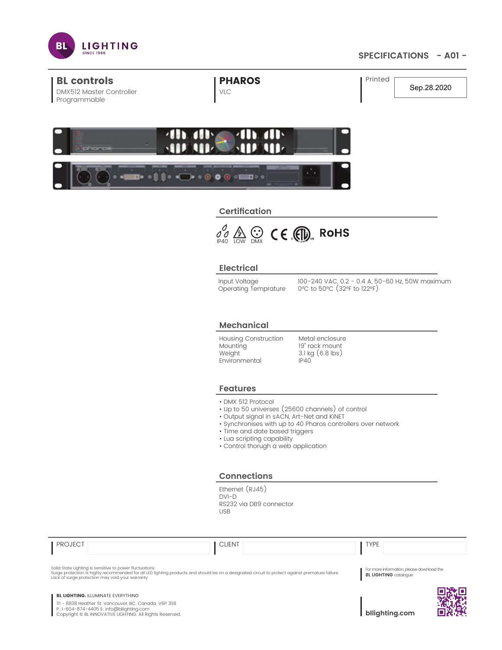

# **SPECIFICATIONS - A01 -**

| <b>BL controls</b><br><b>DMX512 Master Controller</b> | <b>I PHAROS</b><br>VLC | Printed | Sep.28.2020 |
|-------------------------------------------------------|------------------------|---------|-------------|
| Programmable                                          |                        |         |             |



# **Certification**



## **Electrical**

Input Voltage Operating Temprature

100-240 VAC, 0.2 - 0.4 A, 50-60 Hz, 50W maximum 0°C to 50°C (32°F to 122°F)

## **Mechanical**

Housing Construction **Mounting** Weight Environmental

Metal enclosure 19" rack mount 3.1 kg (6.8 lbs) IP40

#### **Features**

- DMX 512 Protocol
- Up to 50 universes (25600 channels) of control
- Output signal in sACN, Art-Net and KiNET
- Synchronises with up to 40 Pharos controllers over network
- Time and date based triggers
- Lua scripting capability
- Control thorugh a web application

#### **Connections**

Ethernet (RJ45) DVI-D RS232 via DB9 connector USB

| <b>PROJECT</b>                                                                                                                                                                                             | <b>CLIENT</b>                                                                                                                                   | <b>TYPE</b>                                                               |  |
|------------------------------------------------------------------------------------------------------------------------------------------------------------------------------------------------------------|-------------------------------------------------------------------------------------------------------------------------------------------------|---------------------------------------------------------------------------|--|
| Solid State Lighting is sensitive to power fluctuations<br>Lack of surge protection may void your warranty                                                                                                 | Surge protection is highly recommended for all LED lighting products and should be on a designated circuit to protect against premature failure | For more information, please download the<br><b>BL LIGHTING</b> catalogue |  |
| <b>BL LIGHTING. ILLUMINATE EVERYTHING</b><br>III - 8838 Heather St. Vancouver, BC. Canada. V6P 3S8<br>P: 1-604-874-4405 E: info@bllighting.com<br>Copyright © BL INNOVATIVE LIGHTING. All Rights Reserved. |                                                                                                                                                 | bllighting.com                                                            |  |